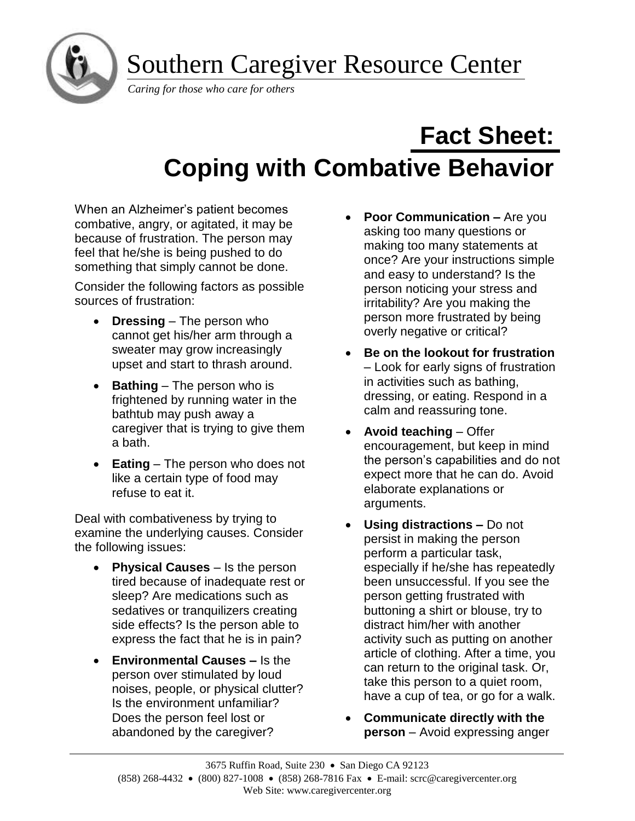Southern Caregiver Resource Center



*Caring for those who care for others*

# **Fact Sheet: Coping with Combative Behavior**

When an Alzheimer's patient becomes combative, angry, or agitated, it may be because of frustration. The person may feel that he/she is being pushed to do something that simply cannot be done.

Consider the following factors as possible sources of frustration:

- **Dressing** The person who cannot get his/her arm through a sweater may grow increasingly upset and start to thrash around.
- **Bathing**  The person who is frightened by running water in the bathtub may push away a caregiver that is trying to give them a bath.
- **Eating** The person who does not like a certain type of food may refuse to eat it.

Deal with combativeness by trying to examine the underlying causes. Consider the following issues:

- **Physical Causes** Is the person tired because of inadequate rest or sleep? Are medications such as sedatives or tranquilizers creating side effects? Is the person able to express the fact that he is in pain?
- **Environmental Causes –** Is the person over stimulated by loud noises, people, or physical clutter? Is the environment unfamiliar? Does the person feel lost or abandoned by the caregiver?
- **Poor Communication –** Are you asking too many questions or making too many statements at once? Are your instructions simple and easy to understand? Is the person noticing your stress and irritability? Are you making the person more frustrated by being overly negative or critical?
- **Be on the lookout for frustration**  – Look for early signs of frustration in activities such as bathing, dressing, or eating. Respond in a calm and reassuring tone.
- **Avoid teaching** Offer encouragement, but keep in mind the person's capabilities and do not expect more that he can do. Avoid elaborate explanations or arguments.
- **Using distractions –** Do not persist in making the person perform a particular task, especially if he/she has repeatedly been unsuccessful. If you see the person getting frustrated with buttoning a shirt or blouse, try to distract him/her with another activity such as putting on another article of clothing. After a time, you can return to the original task. Or, take this person to a quiet room, have a cup of tea, or go for a walk.
- **Communicate directly with the person** – Avoid expressing anger